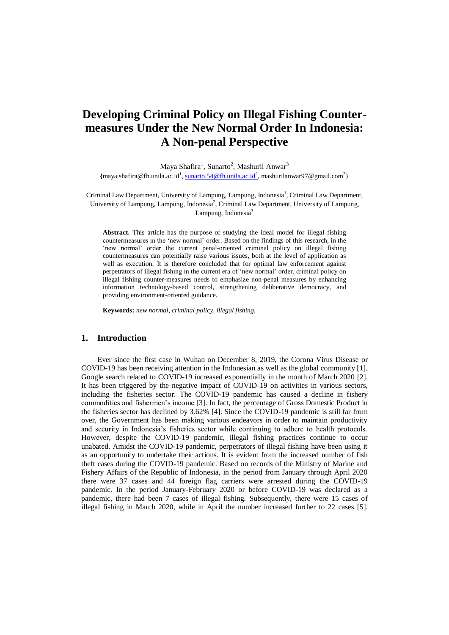# **Developing Criminal Policy on Illegal Fishing Countermeasures Under the New Normal Order In Indonesia: A Non-penal Perspective**

Maya Shafira<sup>1</sup>, Sunarto<sup>2</sup>, Mashuril Anwar<sup>3</sup> {[maya.shafira@fh.unila.ac.id](mailto:maya.shafira@fh.unila.ac.id)<sup>1</sup>[, sunarto.54@fh.unila.ac.id](mailto:sunarto.54@fh.unila.ac.id2)<sup>2</sup>, mashurilanwar97@gmail.com<sup>3</sup>}

Criminal Law Department, University of Lampung, Lampung, Indonesia<sup>1</sup>, Criminal Law Department, University of Lampung, Lampung, Indonesia<sup>2</sup>, Criminal Law Department, University of Lampung, Lampung, Indonesia<sup>3</sup>

**Abstract.** This article has the purpose of studying the ideal model for illegal fishing countermeasures in the 'new normal' order. Based on the findings of this research, in the 'new normal' order the current penal-oriented criminal policy on illegal fishing countermeasures can potentially raise various issues, both at the level of application as well as execution. It is therefore concluded that for optimal law enforcement against perpetrators of illegal fishing in the current era of 'new normal' order, criminal policy on illegal fishing counter-measures needs to emphasize non-penal measures by enhancing information technology-based control, strengthening deliberative democracy, and providing environment-oriented guidance.

**Keywords:** *new normal, criminal policy, illegal fishing.*

# **1. Introduction**

Ever since the first case in Wuhan on December 8, 2019, the Corona Virus Disease or COVID-19 has been receiving attention in the Indonesian as well as the global community [1]. Google search related to COVID-19 increased exponentially in the month of March 2020 [2]. It has been triggered by the negative impact of COVID-19 on activities in various sectors, including the fisheries sector. The COVID-19 pandemic has caused a decline in fishery commodities and fishermen's income [3]. In fact, the percentage of Gross Domestic Product in the fisheries sector has declined by 3.62% [4]. Since the COVID-19 pandemic is still far from over, the Government has been making various endeavors in order to maintain productivity and security in Indonesia's fisheries sector while continuing to adhere to health protocols. However, despite the COVID-19 pandemic, illegal fishing practices continue to occur unabated. Amidst the COVID-19 pandemic, perpetrators of illegal fishing have been using it as an opportunity to undertake their actions. It is evident from the increased number of fish theft cases during the COVID-19 pandemic. Based on records of the Ministry of Marine and Fishery Affairs of the Republic of Indonesia, in the period from January through April 2020 there were 37 cases and 44 foreign flag carriers were arrested during the COVID-19 pandemic. In the period January-February 2020 or before COVID-19 was declared as a pandemic, there had been 7 cases of illegal fishing*.* Subsequently, there were 15 cases of illegal fishing in March 2020, while in April the number increased further to 22 cases [5].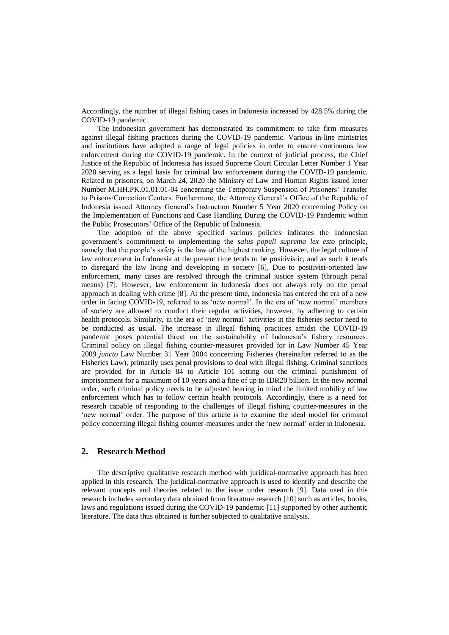Accordingly, the number of illegal fishing cases in Indonesia increased by 428.5% during the COVID-19 pandemic.

The Indonesian government has demonstrated its commitment to take firm measures against illegal fishing practices during the COVID-19 pandemic. Various in-line ministries and institutions have adopted a range of legal policies in order to ensure continuous law enforcement during the COVID-19 pandemic. In the context of judicial process, the Chief Justice of the Republic of Indonesia has issued Supreme Court Circular Letter Number 1 Year 2020 serving as a legal basis for criminal law enforcement during the COVID-19 pandemic. Related to prisoners, on March 24, 2020 the Ministry of Law and Human Rights issued letter Number M.HH.PK.01.01.01-04 concerning the Temporary Suspension of Prisoners' Transfer to Prisons/Correction Centers. Furthermore, the Attorney General's Office of the Republic of Indonesia issued Attorney General's Instruction Number 5 Year 2020 concerning Policy on the Implementation of Functions and Case Handling During the COVID-19 Pandemic within the Public Prosecutors' Office of the Republic of Indonesia.

The adoption of the above specified various policies indicates the Indonesian government's commitment to implementing the *salus populi suprema lex esto* principle*,*  namely that the people's safety is the law of the highest ranking. However, the legal culture of law enforcement in Indonesia at the present time tends to be positivistic, and as such it tends to disregard the law living and developing in society [6]. Due to positivist-oriented law enforcement, many cases are resolved through the criminal justice system (through penal means) [7]. However, law enforcement in Indonesia does not always rely on the penal approach in dealing with crime [8]. At the present time, Indonesia has entered the era of a new order in facing COVID-19, referred to as 'new normal'. In the era of 'new normal' members of society are allowed to conduct their regular activities, however, by adhering to certain health protocols. Similarly, in the era of 'new normal' activities in the fisheries sector need to be conducted as usual. The increase in illegal fishing practices amidst the COVID-19 pandemic poses potential threat on the sustainability of Indonesia's fishery resources. Criminal policy on illegal fishing counter-measures provided for in Law Number 45 Year 2009 *juncto* Law Number 31 Year 2004 concerning Fisheries (hereinafter referred to as the Fisheries Law), primarily uses penal provisions to deal with illegal fishing. Criminal sanctions are provided for in Article 84 to Article 101 setting out the criminal punishment of imprisonment for a maximum of 10 years and a fine of up to IDR20 billion. In the new normal order, such criminal policy needs to be adjusted bearing in mind the limited mobility of law enforcement which has to follow certain health protocols. Accordingly, there is a need for research capable of responding to the challenges of illegal fishing counter-measures in the 'new normal' order. The purpose of this article is to examine the ideal model for criminal policy concerning illegal fishing counter-measures under the 'new normal' order in Indonesia.

# **2. Research Method**

The descriptive qualitative research method with juridical-normative approach has been applied in this research. The juridical-normative approach is used to identify and describe the relevant concepts and theories related to the issue under research [9]. Data used in this research includes secondary data obtained from literature research [10] such as articles, books, laws and regulations issued during the COVID-19 pandemic [11] supported by other authentic literature. The data thus obtained is further subjected to qualitative analysis.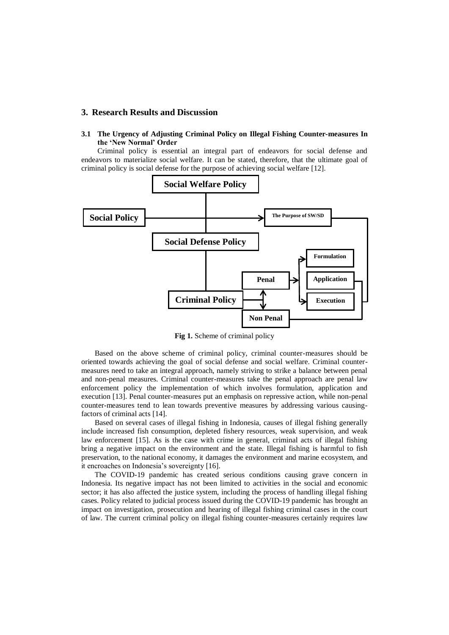## **3. Research Results and Discussion**

#### **3.1 The Urgency of Adjusting Criminal Policy on Illegal Fishing Counter-measures In the 'New Normal' Order**

Criminal policy is essential an integral part of endeavors for social defense and endeavors to materialize social welfare. It can be stated, therefore, that the ultimate goal of criminal policy is social defense for the purpose of achieving social welfare [12].



**Fig 1.** Scheme of criminal policy

Based on the above scheme of criminal policy, criminal counter-measures should be oriented towards achieving the goal of social defense and social welfare. Criminal countermeasures need to take an integral approach, namely striving to strike a balance between penal and non-penal measures. Criminal counter-measures take the penal approach are penal law enforcement policy the implementation of which involves formulation, application and execution [13]. Penal counter-measures put an emphasis on repressive action, while non-penal counter-measures tend to lean towards preventive measures by addressing various causingfactors of criminal acts [14].

Based on several cases of illegal fishing in Indonesia, causes of illegal fishing generally include increased fish consumption, depleted fishery resources, weak supervision, and weak law enforcement [15]. As is the case with crime in general, criminal acts of illegal fishing bring a negative impact on the environment and the state. Illegal fishing is harmful to fish preservation, to the national economy, it damages the environment and marine ecosystem, and it encroaches on Indonesia's sovereignty [16].

The COVID-19 pandemic has created serious conditions causing grave concern in Indonesia. Its negative impact has not been limited to activities in the social and economic sector; it has also affected the justice system, including the process of handling illegal fishing cases. Policy related to judicial process issued during the COVID-19 pandemic has brought an impact on investigation, prosecution and hearing of illegal fishing criminal cases in the court of law. The current criminal policy on illegal fishing counter-measures certainly requires law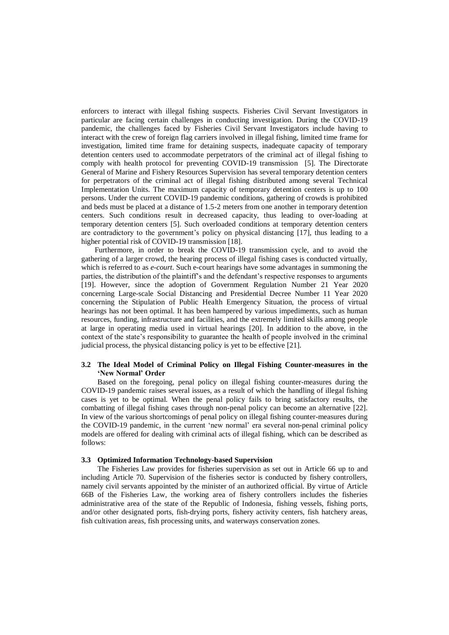enforcers to interact with illegal fishing suspects*.* Fisheries Civil Servant Investigators in particular are facing certain challenges in conducting investigation. During the COVID-19 pandemic, the challenges faced by Fisheries Civil Servant Investigators include having to interact with the crew of foreign flag carriers involved in illegal fishing, limited time frame for investigation, limited time frame for detaining suspects, inadequate capacity of temporary detention centers used to accommodate perpetrators of the criminal act of illegal fishing to comply with health protocol for preventing COVID-19 transmission [5]. The Directorate General of Marine and Fishery Resources Supervision has several temporary detention centers for perpetrators of the criminal act of illegal fishing distributed among several Technical Implementation Units. The maximum capacity of temporary detention centers is up to 100 persons. Under the current COVID-19 pandemic conditions, gathering of crowds is prohibited and beds must be placed at a distance of 1.5-2 meters from one another in temporary detention centers. Such conditions result in decreased capacity, thus leading to over-loading at temporary detention centers [5]. Such overloaded conditions at temporary detention centers are contradictory to the government's policy on physical distancing [17]*,* thus leading to a higher potential risk of COVID-19 transmission [18].

Furthermore, in order to break the COVID-19 transmission cycle, and to avoid the gathering of a larger crowd, the hearing process of illegal fishing cases is conducted virtually, which is referred to as *e-court*. Such e-court hearings have some advantages in summoning the parties, the distribution of the plaintiff's and the defendant's respective responses to arguments [19]. However, since the adoption of Government Regulation Number 21 Year 2020 concerning Large-scale Social Distancing and Presidential Decree Number 11 Year 2020 concerning the Stipulation of Public Health Emergency Situation, the process of virtual hearings has not been optimal. It has been hampered by various impediments, such as human resources, funding, infrastructure and facilities, and the extremely limited skills among people at large in operating media used in virtual hearings [20]. In addition to the above, in the context of the state's responsibility to guarantee the health of people involved in the criminal judicial process, the physical distancing policy is yet to be effective [21].

## **3.2 The Ideal Model of Criminal Policy on Illegal Fishing Counter-measures in the 'New Normal' Order**

Based on the foregoing, penal policy on illegal fishing counter-measures during the COVID-19 pandemic raises several issues, as a result of which the handling of illegal fishing cases is yet to be optimal. When the penal policy fails to bring satisfactory results, the combatting of illegal fishing cases through non-penal policy can become an alternative [22]. In view of the various shortcomings of penal policy on illegal fishing counter-measures during the COVID-19 pandemic, in the current 'new normal' era several non-penal criminal policy models are offered for dealing with criminal acts of illegal fishing, which can be described as follows:

#### **3.3 Optimized Information Technology-based Supervision**

The Fisheries Law provides for fisheries supervision as set out in Article 66 up to and including Article 70. Supervision of the fisheries sector is conducted by fishery controllers, namely civil servants appointed by the minister of an authorized official. By virtue of Article 66B of the Fisheries Law, the working area of fishery controllers includes the fisheries administrative area of the state of the Republic of Indonesia, fishing vessels, fishing ports, and/or other designated ports, fish-drying ports, fishery activity centers, fish hatchery areas, fish cultivation areas, fish processing units, and waterways conservation zones.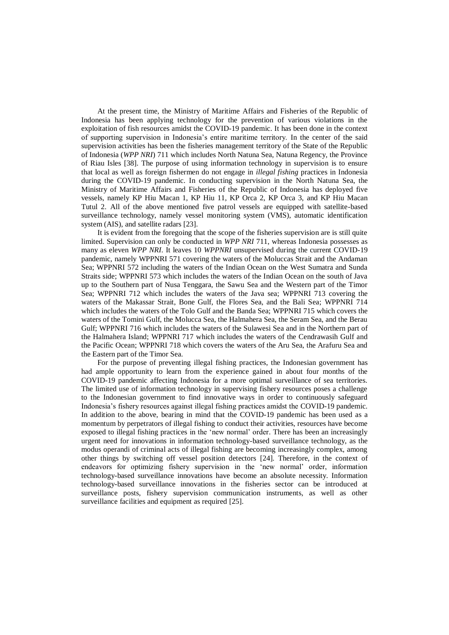At the present time, the Ministry of Maritime Affairs and Fisheries of the Republic of Indonesia has been applying technology for the prevention of various violations in the exploitation of fish resources amidst the COVID-19 pandemic. It has been done in the context of supporting supervision in Indonesia's entire maritime territory. In the center of the said supervision activities has been the fisheries management territory of the State of the Republic of Indonesia (*WPP NRI*) 711 which includes North Natuna Sea, Natuna Regency, the Province of Riau Isles [38]. The purpose of using information technology in supervision is to ensure that local as well as foreign fishermen do not engage in *illegal fishing* practices in Indonesia during the COVID-19 pandemic. In conducting supervision in the North Natuna Sea, the Ministry of Maritime Affairs and Fisheries of the Republic of Indonesia has deployed five vessels, namely KP Hiu Macan 1, KP Hiu 11, KP Orca 2, KP Orca 3, and KP Hiu Macan Tutul 2. All of the above mentioned five patrol vessels are equipped with satellite-based surveillance technology, namely vessel monitoring system (VMS), automatic identification system (AIS), and satellite radars [23].

It is evident from the foregoing that the scope of the fisheries supervision are is still quite limited. Supervision can only be conducted in *WPP NRI* 711, whereas Indonesia possesses as many as eleven *WPP NRI*. It leaves 10 *WPPNRI* unsupervised during the current COVID-19 pandemic, namely WPPNRI 571 covering the waters of the Moluccas Strait and the Andaman Sea; WPPNRI 572 including the waters of the Indian Ocean on the West Sumatra and Sunda Straits side; WPPNRI 573 which includes the waters of the Indian Ocean on the south of Java up to the Southern part of Nusa Tenggara, the Sawu Sea and the Western part of the Timor Sea; WPPNRI 712 which includes the waters of the Java sea; WPPNRI 713 covering the waters of the Makassar Strait, Bone Gulf, the Flores Sea, and the Bali Sea; WPPNRI 714 which includes the waters of the Tolo Gulf and the Banda Sea; WPPNRI 715 which covers the waters of the Tomini Gulf, the Molucca Sea, the Halmahera Sea, the Seram Sea, and the Berau Gulf; WPPNRI 716 which includes the waters of the Sulawesi Sea and in the Northern part of the Halmahera Island; WPPNRI 717 which includes the waters of the Cendrawasih Gulf and the Pacific Ocean; WPPNRI 718 which covers the waters of the Aru Sea, the Arafuru Sea and the Eastern part of the Timor Sea.

For the purpose of preventing illegal fishing practices, the Indonesian government has had ample opportunity to learn from the experience gained in about four months of the COVID-19 pandemic affecting Indonesia for a more optimal surveillance of sea territories. The limited use of information technology in supervising fishery resources poses a challenge to the Indonesian government to find innovative ways in order to continuously safeguard Indonesia's fishery resources against illegal fishing practices amidst the COVID-19 pandemic. In addition to the above, bearing in mind that the COVID-19 pandemic has been used as a momentum by perpetrators of illegal fishing to conduct their activities, resources have become exposed to illegal fishing practices in the 'new normal' order. There has been an increasingly urgent need for innovations in information technology-based surveillance technology, as the modus operandi of criminal acts of illegal fishing are becoming increasingly complex, among other things by switching off vessel position detectors [24]. Therefore, in the context of endeavors for optimizing fishery supervision in the 'new normal' order, information technology-based surveillance innovations have become an absolute necessity. Information technology-based surveillance innovations in the fisheries sector can be introduced at surveillance posts, fishery supervision communication instruments, as well as other surveillance facilities and equipment as required [25].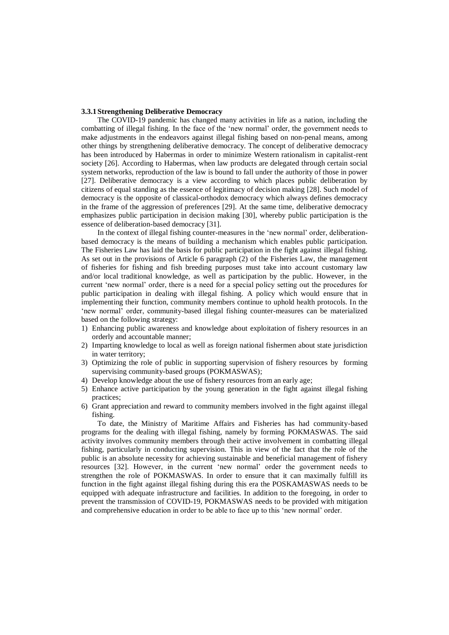#### **3.3.1Strengthening Deliberative Democracy**

The COVID-19 pandemic has changed many activities in life as a nation, including the combatting of illegal fishing. In the face of the 'new normal' order, the government needs to make adjustments in the endeavors against illegal fishing based on non-penal means, among other things by strengthening deliberative democracy. The concept of deliberative democracy has been introduced by Habermas in order to minimize Western rationalism in capitalist-rent society [26]. According to Habermas, when law products are delegated through certain social system networks, reproduction of the law is bound to fall under the authority of those in power [27]. Deliberative democracy is a view according to which places public deliberation by citizens of equal standing as the essence of legitimacy of decision making [28]. Such model of democracy is the opposite of classical-orthodox democracy which always defines democracy in the frame of the aggression of preferences [29]. At the same time, deliberative democracy emphasizes public participation in decision making [30], whereby public participation is the essence of deliberation-based democracy [31].

In the context of illegal fishing counter-measures in the 'new normal' order, deliberationbased democracy is the means of building a mechanism which enables public participation. The Fisheries Law has laid the basis for public participation in the fight against illegal fishing. As set out in the provisions of Article 6 paragraph (2) of the Fisheries Law, the management of fisheries for fishing and fish breeding purposes must take into account customary law and/or local traditional knowledge, as well as participation by the public. However, in the current 'new normal' order, there is a need for a special policy setting out the procedures for public participation in dealing with illegal fishing. A policy which would ensure that in implementing their function, community members continue to uphold health protocols. In the 'new normal' order, community-based illegal fishing counter-measures can be materialized based on the following strategy:

- 1) Enhancing public awareness and knowledge about exploitation of fishery resources in an orderly and accountable manner;
- 2) Imparting knowledge to local as well as foreign national fishermen about state jurisdiction in water territory;
- 3) Optimizing the role of public in supporting supervision of fishery resources by forming supervising community-based groups (POKMASWAS);
- 4) Develop knowledge about the use of fishery resources from an early age;
- 5) Enhance active participation by the young generation in the fight against illegal fishing practices;
- 6) Grant appreciation and reward to community members involved in the fight against illegal fishing.

To date, the Ministry of Maritime Affairs and Fisheries has had community-based programs for the dealing with illegal fishing, namely by forming POKMASWAS. The said activity involves community members through their active involvement in combatting illegal fishing, particularly in conducting supervision. This in view of the fact that the role of the public is an absolute necessity for achieving sustainable and beneficial management of fishery resources [32]. However, in the current 'new normal' order the government needs to strengthen the role of POKMASWAS. In order to ensure that it can maximally fulfill its function in the fight against illegal fishing during this era the POSKAMASWAS needs to be equipped with adequate infrastructure and facilities. In addition to the foregoing, in order to prevent the transmission of COVID-19, POKMASWAS needs to be provided with mitigation and comprehensive education in order to be able to face up to this 'new normal' order.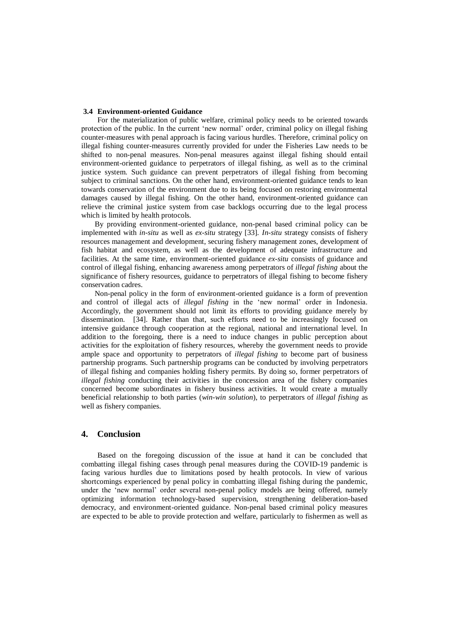#### **3.4 Environment-oriented Guidance**

For the materialization of public welfare, criminal policy needs to be oriented towards protection of the public. In the current 'new normal' order, criminal policy on illegal fishing counter-measures with penal approach is facing various hurdles. Therefore, criminal policy on illegal fishing counter-measures currently provided for under the Fisheries Law needs to be shifted to non-penal measures. Non-penal measures against illegal fishing should entail environment-oriented guidance to perpetrators of illegal fishing, as well as to the criminal justice system. Such guidance can prevent perpetrators of illegal fishing from becoming subject to criminal sanctions. On the other hand, environment-oriented guidance tends to lean towards conservation of the environment due to its being focused on restoring environmental damages caused by illegal fishing. On the other hand, environment-oriented guidance can relieve the criminal justice system from case backlogs occurring due to the legal process which is limited by health protocols.

By providing environment-oriented guidance, non-penal based criminal policy can be implemented with *in-situ* as well as *ex-situ* strategy [33]*. In-situ* strategy consists of fishery resources management and development, securing fishery management zones, development of fish habitat and ecosystem, as well as the development of adequate infrastructure and facilities. At the same time, environment-oriented guidance *ex-situ* consists of guidance and control of illegal fishing, enhancing awareness among perpetrators of *illegal fishing* about the significance of fishery resources, guidance to perpetrators of illegal fishing to become fishery conservation cadres.

Non-penal policy in the form of environment-oriented guidance is a form of prevention and control of illegal acts of *illegal fishing* in the 'new normal' order in Indonesia. Accordingly, the government should not limit its efforts to providing guidance merely by dissemination. [34]. Rather than that, such efforts need to be increasingly focused on intensive guidance through cooperation at the regional, national and international level. In addition to the foregoing, there is a need to induce changes in public perception about activities for the exploitation of fishery resources, whereby the government needs to provide ample space and opportunity to perpetrators of *illegal fishing* to become part of business partnership programs. Such partnership programs can be conducted by involving perpetrators of illegal fishing and companies holding fishery permits. By doing so, former perpetrators of *illegal fishing* conducting their activities in the concession area of the fishery companies concerned become subordinates in fishery business activities. It would create a mutually beneficial relationship to both parties (*win-win solution*), to perpetrators of *illegal fishing* as well as fishery companies.

# **4. Conclusion**

Based on the foregoing discussion of the issue at hand it can be concluded that combatting illegal fishing cases through penal measures during the COVID-19 pandemic is facing various hurdles due to limitations posed by health protocols. In view of various shortcomings experienced by penal policy in combatting illegal fishing during the pandemic, under the 'new normal' order several non-penal policy models are being offered, namely optimizing information technology-based supervision, strengthening deliberation-based democracy, and environment-oriented guidance. Non-penal based criminal policy measures are expected to be able to provide protection and welfare, particularly to fishermen as well as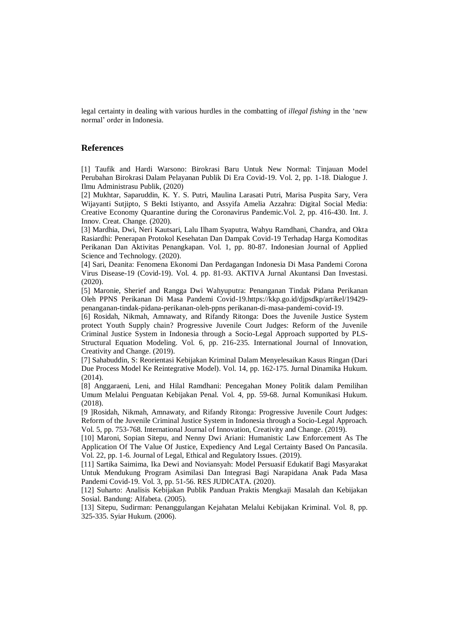legal certainty in dealing with various hurdles in the combatting of *illegal fishing* in the 'new normal' order in Indonesia.

## **References**

[1] Taufik and Hardi Warsono: Birokrasi Baru Untuk New Normal: Tinjauan Model Perubahan Birokrasi Dalam Pelayanan Publik Di Era Covid-19. Vol. 2, pp. 1-18. Dialogue J. Ilmu Administrasu Publik, (2020)

[2] Mukhtar, Saparuddin, K. Y. S. Putri, Maulina Larasati Putri, Marisa Puspita Sary, Vera Wijayanti Sutjipto, S Bekti Istiyanto, and Assyifa Amelia Azzahra: Digital Social Media: Creative Economy Quarantine during the Coronavirus Pandemic.Vol. 2, pp. 416-430. Int. J. Innov. Creat. Change*.* (2020).

[3] Mardhia, Dwi, Neri Kautsari, Lalu Ilham Syaputra, Wahyu Ramdhani, Chandra, and Okta Rasiardhi: Penerapan Protokol Kesehatan Dan Dampak Covid-19 Terhadap Harga Komoditas Perikanan Dan Aktivitas Penangkapan. Vol. 1, pp. 80-87. Indonesian Journal of Applied Science and Technology*.* (2020).

[4] Sari, Deanita: Fenomena Ekonomi Dan Perdagangan Indonesia Di Masa Pandemi Corona Virus Disease-19 (Covid-19). Vol. 4. pp. 81-93. AKTIVA Jurnal Akuntansi Dan Investasi. (2020).

[5] Maronie, Sherief and Rangga Dwi Wahyuputra: Penanganan Tindak Pidana Perikanan Oleh PPNS Perikanan Di Masa Pandemi Covid-19.https://kkp.go.id/djpsdkp/artikel/19429 penanganan-tindak-pidana-perikanan-oleh-ppns perikanan-di-masa-pandemi-covid-19.

[6] Rosidah, Nikmah, Amnawaty, and Rifandy Ritonga: Does the Juvenile Justice System protect Youth Supply chain? Progressive Juvenile Court Judges: Reform of the Juvenile Criminal Justice System in Indonesia through a Socio-Legal Approach supported by PLS-Structural Equation Modeling. Vol. 6, pp. 216-235. International Journal of Innovation, Creativity and Change. (2019).

[7] Sahabuddin, S: Reorientasi Kebijakan Kriminal Dalam Menyelesaikan Kasus Ringan (Dari Due Process Model Ke Reintegrative Model). Vol. 14, pp. 162-175. Jurnal Dinamika Hukum. (2014).

[8] Anggaraeni, Leni, and Hilal Ramdhani: Pencegahan Money Politik dalam Pemilihan Umum Melalui Penguatan Kebijakan Penal. Vol. 4, pp. 59-68. Jurnal Komunikasi Hukum. (2018).

[9 ]Rosidah, Nikmah, Amnawaty, and Rifandy Ritonga: Progressive Juvenile Court Judges: Reform of the Juvenile Criminal Justice System in Indonesia through a Socio-Legal Approach. Vol. 5, pp. 753-768. International Journal of Innovation, Creativity and Change. (2019).

[10] Maroni, Sopian Sitepu, and Nenny Dwi Ariani: Humanistic Law Enforcement As The Application Of The Value Of Justice, Expediency And Legal Certainty Based On Pancasila. Vol. 22, pp. 1-6. Journal of Legal, Ethical and Regulatory Issues. (2019).

[11] Sartika Saimima, Ika Dewi and Noviansyah: Model Persuasif Edukatif Bagi Masyarakat Untuk Mendukung Program Asimilasi Dan Integrasi Bagi Narapidana Anak Pada Masa Pandemi Covid-19. Vol. 3, pp. 51-56. RES JUDICATA. (2020).

[12] Suharto: Analisis Kebijakan Publik Panduan Praktis Mengkaji Masalah dan Kebijakan Sosial. Bandung: Alfabeta. (2005).

[13] Sitepu, Sudirman: Penanggulangan Kejahatan Melalui Kebijakan Kriminal. Vol. 8, pp. 325-335. Syiar Hukum. (2006).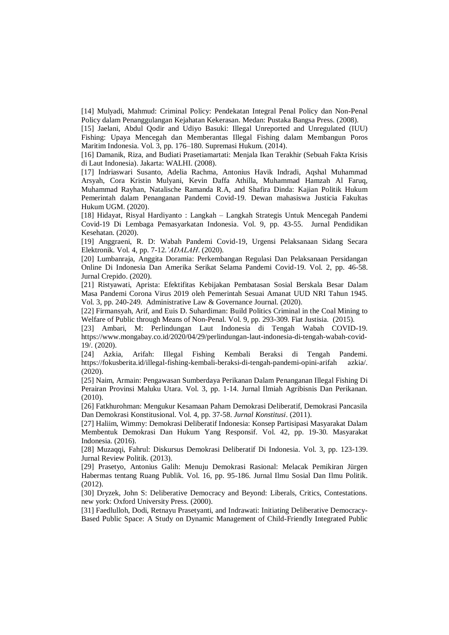[14] Mulyadi, Mahmud: Criminal Policy: Pendekatan Integral Penal Policy dan Non-Penal Policy dalam Penanggulangan Kejahatan Kekerasan. Medan: Pustaka Bangsa Press. (2008).

[15] Jaelani, Abdul Qodir and Udiyo Basuki: Illegal Unreported and Unregulated (IUU) Fishing: Upaya Mencegah dan Memberantas Illegal Fishing dalam Membangun Poros Maritim Indonesia. Vol. 3, pp. 176–180. Supremasi Hukum. (2014).

[16] Damanik, Riza, and Budiati Prasetiamartati: Menjala Ikan Terakhir (Sebuah Fakta Krisis di Laut Indonesia). Jakarta: WALHI. (2008).

[17] Indriaswari Susanto, Adelia Rachma, Antonius Havik Indradi, Aqshal Muhammad Arsyah, Cora Kristin Mulyani, Kevin Daffa Athilla, Muhammad Hamzah Al Faruq, Muhammad Rayhan, Natalische Ramanda R.A, and Shafira Dinda: Kajian Politik Hukum Pemerintah dalam Penanganan Pandemi Covid-19. Dewan mahasiswa Justicia Fakultas Hukum UGM. (2020).

[18] Hidayat, Risyal Hardiyanto : Langkah – Langkah Strategis Untuk Mencegah Pandemi Covid-19 Di Lembaga Pemasyarkatan Indonesia. Vol. 9, pp. 43-55. Jurnal Pendidikan Kesehatan. (2020).

[19] Anggraeni, R. D: Wabah Pandemi Covid-19, Urgensi Pelaksanaan Sidang Secara Elektronik. Vol. 4, pp. 7-12.*'ADALAH*. (2020).

[20] Lumbanraja, Anggita Doramia: Perkembangan Regulasi Dan Pelaksanaan Persidangan Online Di Indonesia Dan Amerika Serikat Selama Pandemi Covid-19. Vol. 2, pp. 46-58. Jurnal Crepido. (2020).

[21] Ristyawati, Aprista: Efektifitas Kebijakan Pembatasan Sosial Berskala Besar Dalam Masa Pandemi Corona Virus 2019 oleh Pemerintah Sesuai Amanat UUD NRI Tahun 1945. Vol. 3, pp. 240-249. Administrative Law & Governance Journal. (2020).

[22] Firmansyah, Arif, and Euis D. Suhardiman: Build Politics Criminal in the Coal Mining to Welfare of Public through Means of Non-Penal. Vol. 9, pp. 293-309. Fiat Justisia. (2015).

[23] Ambari, M: Perlindungan Laut Indonesia di Tengah Wabah COVID-19. https://www.mongabay.co.id/2020/04/29/perlindungan-laut-indonesia-di-tengah-wabah-covid-19/. (2020).

[24] Azkia, Arifah: Illegal Fishing Kembali Beraksi di Tengah Pandemi. https://fokusberita.id/illegal-fishing-kembali-beraksi-di-tengah-pandemi-opini-arifah azkia/. (2020).

[25] Naim, Armain: Pengawasan Sumberdaya Perikanan Dalam Penanganan Illegal Fishing Di Perairan Provinsi Maluku Utara. Vol. 3, pp. 1-14. Jurnal Ilmiah Agribisnis Dan Perikanan. (2010).

[26] Fatkhurohman: Mengukur Kesamaan Paham Demokrasi Deliberatif, Demokrasi Pancasila Dan Demokrasi Konstitusional. Vol. 4, pp. 37-58. *Jurnal Konstitusi*. (2011).

[27] Haliim, Wimmy: Demokrasi Deliberatif Indonesia: Konsep Partisipasi Masyarakat Dalam Membentuk Demokrasi Dan Hukum Yang Responsif. Vol. 42, pp. 19-30. Masyarakat Indonesia. (2016).

[28] Muzaqqi, Fahrul: Diskursus Demokrasi Deliberatif Di Indonesia. Vol. 3, pp. 123-139. Jurnal Review Politik. (2013).

[29] Prasetyo, Antonius Galih: Menuju Demokrasi Rasional: Melacak Pemikiran Jürgen Habermas tentang Ruang Publik. Vol. 16, pp. 95-186. Jurnal Ilmu Sosial Dan Ilmu Politik. (2012).

[30] Dryzek, John S: Deliberative Democracy and Beyond: Liberals, Critics, Contestations. new york: Oxford University Press. (2000).

[31] Faedlulloh, Dodi, Retnayu Prasetyanti, and Indrawati: Initiating Deliberative Democracy-Based Public Space: A Study on Dynamic Management of Child-Friendly Integrated Public